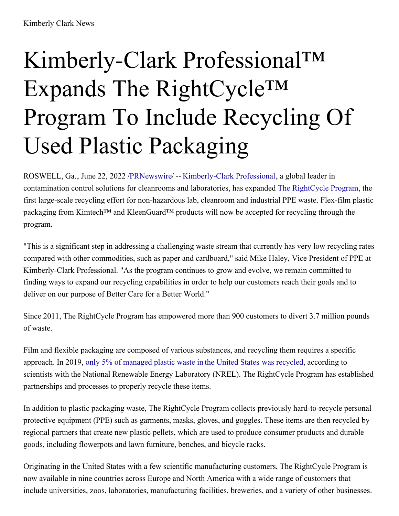## Kimberly-Clark Professional™ Expands The RightCycle™ Program To Include Recycling Of Used Plastic Packaging

ROSWELL, Ga., June 22, 2022 [/PRNewswire](http://www.prnewswire.com/)/ -- [Kimberly-Clark](https://c212.net/c/link/?t=0&l=en&o=3571301-1&h=3405777777&u=https%3A%2F%2Fwww.kcprofessional.com%2Fen-us&a=Kimberly-Clark+Professional) Professional, a global leader in contamination control solutions for cleanrooms and laboratories, has expanded The [RightCycle](https://c212.net/c/link/?t=0&l=en&o=3571301-1&h=2365666570&u=http%3A%2F%2Fwww.kcprofessional.com%2Frightcycle&a=The+RightCycle+Program) Program, the first large-scale recycling effort for non-hazardous lab, cleanroom and industrial PPE waste. Flex-film plastic packaging from Kimtech™ and KleenGuard™ products will now be accepted for recycling through the program.

"This is a significant step in addressing a challenging waste stream that currently has very low recycling rates compared with other commodities, such as paper and cardboard," said Mike Haley, Vice President of PPE at Kimberly-Clark Professional. "As the program continues to grow and evolve, we remain committed to finding ways to expand our recycling capabilities in order to help our customers reach their goals and to deliver on our purpose of Better Care for a Better World."

Since 2011, The RightCycle Program has empowered more than 900 customers to divert 3.7 million pounds of waste.

Film and flexible packaging are composed of various substances, and recycling them requires a specific approach. In 2019, only 5% of [managed](https://c212.net/c/link/?t=0&l=en&o=3571301-1&h=3455806760&u=https%3A%2F%2Fwww.sciencedirect.com%2Fscience%2Farticle%2Fabs%2Fpii%2FS0921344922002087&a=only+5%25+of+managed+plastic+waste+in+the+United+States+was+recycled) plastic waste in the United States was recycled, according to scientists with the National Renewable Energy Laboratory (NREL). The RightCycle Program has established partnerships and processes to properly recycle these items.

In addition to plastic packaging waste, The RightCycle Program collects previously hard-to-recycle personal protective equipment (PPE) such as garments, masks, gloves, and goggles. These items are then recycled by regional partners that create new plastic pellets, which are used to produce consumer products and durable goods, including flowerpots and lawn furniture, benches, and bicycle racks.

Originating in the United States with a few scientific manufacturing customers, The RightCycle Program is now available in nine countries across Europe and North America with a wide range of customers that include universities, zoos, laboratories, manufacturing facilities, breweries, and a variety of other businesses.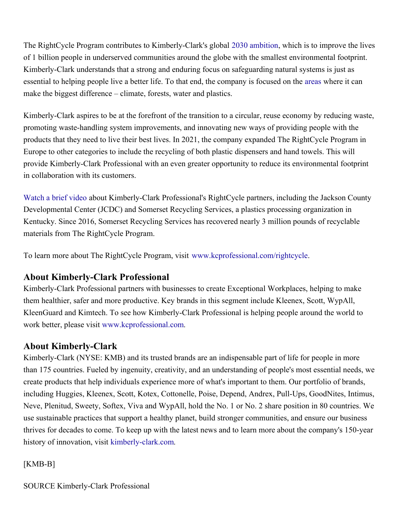The RightCycle Program contributes to Kimberly-Clark's global 2030 [ambition](https://c212.net/c/link/?t=0&l=en&o=3571301-1&h=186460233&u=https%3A%2F%2Fwww.kimberly-clark.com%2Fen-us%2Fesg%2F2030-ambition&a=2030+ambition), which is to improve the lives of 1 billion people in underserved communities around the globe with the smallest environmental footprint. Kimberly-Clark understands that a strong and enduring focus on safeguarding natural systems is just as essential to helping people live a better life. To that end, the company is focused on the [areas](https://c212.net/c/link/?t=0&l=en&o=3571301-1&h=3144611266&u=https%3A%2F%2Fwww.kimberly-clark.com%2Fen-us%2Fesg%2Fsmallest-footprint&a=areas) where it can make the biggest difference – climate, forests, water and plastics.

Kimberly-Clark aspires to be at the forefront of the transition to a circular, reuse economy by reducing waste, promoting waste-handling system improvements, and innovating new ways of providing people with the products that they need to live their best lives. In 2021, the company expanded The RightCycle Program in Europe to other categories to include the recycling of both plastic dispensers and hand towels. This will provide Kimberly-Clark Professional with an even greater opportunity to reduce its environmental footprint in collaboration with its customers.

[Watch](https://c212.net/c/link/?t=0&l=en&o=3571301-1&h=4141424196&u=https%3A%2F%2Fwww.youtube.com%2Fwatch%3Fv%3DCKErnDwoG0I&a=Watch+a+brief+video) a brief video about Kimberly-Clark Professional's RightCycle partners, including the Jackson County Developmental Center (JCDC) and Somerset Recycling Services, a plastics processing organization in Kentucky. Since 2016, Somerset Recycling Services has recovered nearly 3 million pounds of recyclable materials from The RightCycle Program.

To learn more about The RightCycle Program, visit [www.kcprofessional.com/rightcycle](https://c212.net/c/link/?t=0&l=en&o=3571301-1&h=1022384469&u=http%3A%2F%2Fwww.kcprofessional.com%2Frightcycle&a=www.kcprofessional.com%2Frightcycle).

## **About Kimberly-Clark Professional**

Kimberly-Clark Professional partners with businesses to create Exceptional Workplaces, helping to make them healthier, safer and more productive. Key brands in this segment include Kleenex, Scott, WypAll, KleenGuard and Kimtech. To see how Kimberly-Clark Professional is helping people around the world to work better, please visit [www.kcprofessional.com](https://c212.net/c/link/?t=0&l=en&o=3571301-1&h=2129408842&u=http%3A%2F%2Fwww.kcprofessional.com%2F&a=www.kcprofessional.com).

## **About Kimberly-Clark**

Kimberly-Clark (NYSE: KMB) and its trusted brands are an indispensable part of life for people in more than 175 countries. Fueled by ingenuity, creativity, and an understanding of people's most essential needs, we create products that help individuals experience more of what's important to them. Our portfolio of brands, including Huggies, Kleenex, Scott, Kotex, Cottonelle, Poise, Depend, Andrex, Pull-Ups, GoodNites, Intimus, Neve, Plenitud, Sweety, Softex, Viva and WypAll, hold the No. 1 or No. 2 share position in 80 countries. We use sustainable practices that support a healthy planet, build stronger communities, and ensure our business thrives for decades to come. To keep up with the latest news and to learn more about the company's 150-year history of innovation, visit [kimberly-clark.com](https://c212.net/c/link/?t=0&l=en&o=3571301-1&h=3735193885&u=https%3A%2F%2Fwww.kimberly-clark.com&a=kimberly-clark.com).

## [KMB-B]

SOURCE Kimberly-Clark Professional